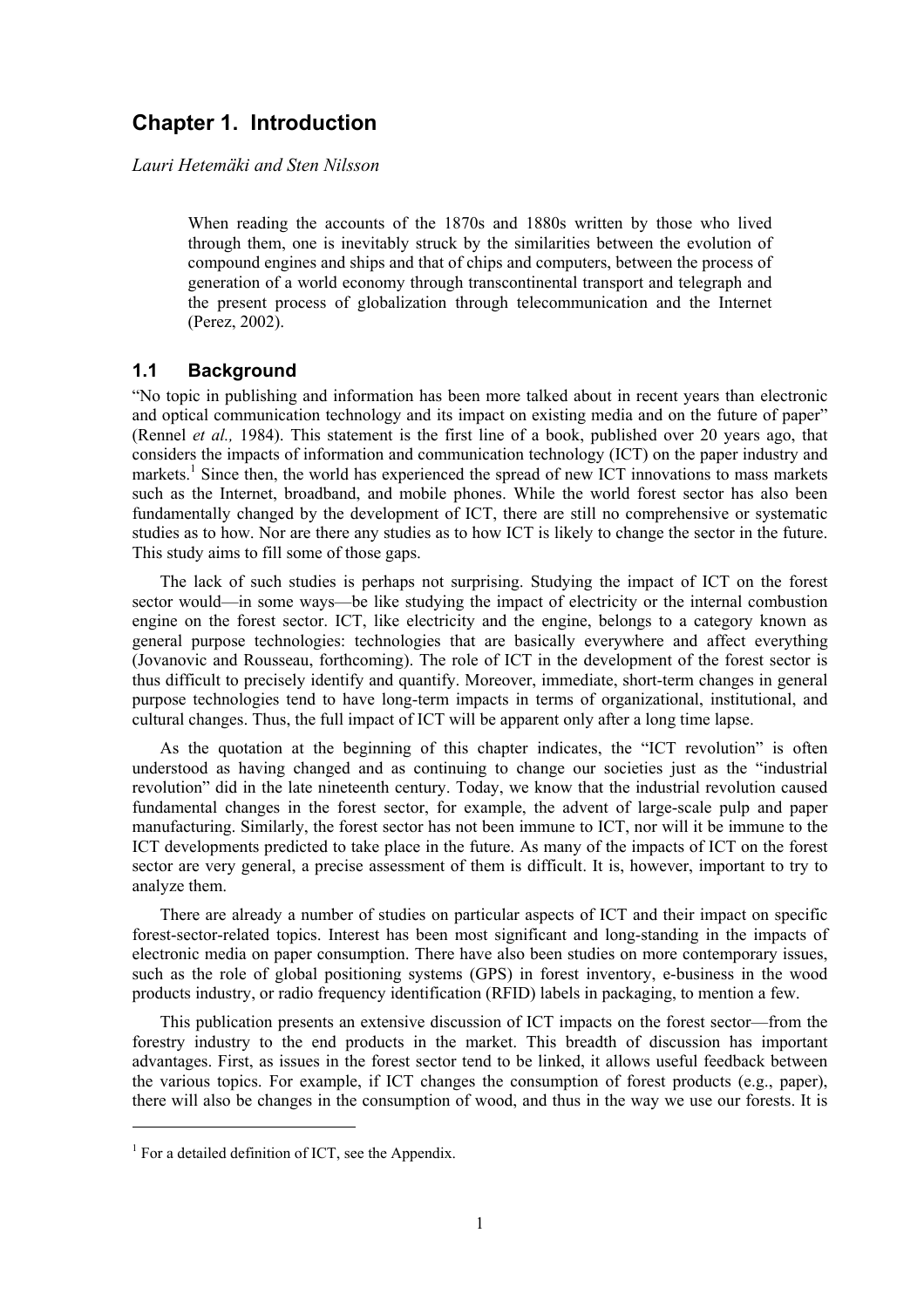# **Chapter 1. Introduction**

*Lauri Hetemäki and Sten Nilsson* 

When reading the accounts of the 1870s and 1880s written by those who lived through them, one is inevitably struck by the similarities between the evolution of compound engines and ships and that of chips and computers, between the process of generation of a world economy through transcontinental transport and telegraph and the present process of globalization through telecommunication and the Internet (Perez, 2002).

# **1.1 Background**

"No topic in publishing and information has been more talked about in recent years than electronic and optical communication technology and its impact on existing media and on the future of paper" (Rennel *et al.,* 1984). This statement is the first line of a book, published over 20 years ago, that considers the impacts of information and communication technology (ICT) on the paper industry and markets.<sup>1</sup> Since then, the world has experienced the spread of new ICT innovations to mass markets such as the Internet, broadband, and mobile phones. While the world forest sector has also been fundamentally changed by the development of ICT, there are still no comprehensive or systematic studies as to how. Nor are there any studies as to how ICT is likely to change the sector in the future. This study aims to fill some of those gaps.

 The lack of such studies is perhaps not surprising. Studying the impact of ICT on the forest sector would—in some ways—be like studying the impact of electricity or the internal combustion engine on the forest sector. ICT, like electricity and the engine, belongs to a category known as general purpose technologies: technologies that are basically everywhere and affect everything (Jovanovic and Rousseau, forthcoming). The role of ICT in the development of the forest sector is thus difficult to precisely identify and quantify. Moreover, immediate, short-term changes in general purpose technologies tend to have long-term impacts in terms of organizational, institutional, and cultural changes. Thus, the full impact of ICT will be apparent only after a long time lapse.

 As the quotation at the beginning of this chapter indicates, the "ICT revolution" is often understood as having changed and as continuing to change our societies just as the "industrial revolution" did in the late nineteenth century. Today, we know that the industrial revolution caused fundamental changes in the forest sector, for example, the advent of large-scale pulp and paper manufacturing. Similarly, the forest sector has not been immune to ICT, nor will it be immune to the ICT developments predicted to take place in the future. As many of the impacts of ICT on the forest sector are very general, a precise assessment of them is difficult. It is, however, important to try to analyze them.

 There are already a number of studies on particular aspects of ICT and their impact on specific forest-sector-related topics. Interest has been most significant and long-standing in the impacts of electronic media on paper consumption. There have also been studies on more contemporary issues, such as the role of global positioning systems (GPS) in forest inventory, e-business in the wood products industry, or radio frequency identification (RFID) labels in packaging, to mention a few.

 This publication presents an extensive discussion of ICT impacts on the forest sector—from the forestry industry to the end products in the market. This breadth of discussion has important advantages. First, as issues in the forest sector tend to be linked, it allows useful feedback between the various topics. For example, if ICT changes the consumption of forest products (e.g., paper), there will also be changes in the consumption of wood, and thus in the way we use our forests. It is

<sup>&</sup>lt;sup>1</sup> For a detailed definition of ICT, see the Appendix.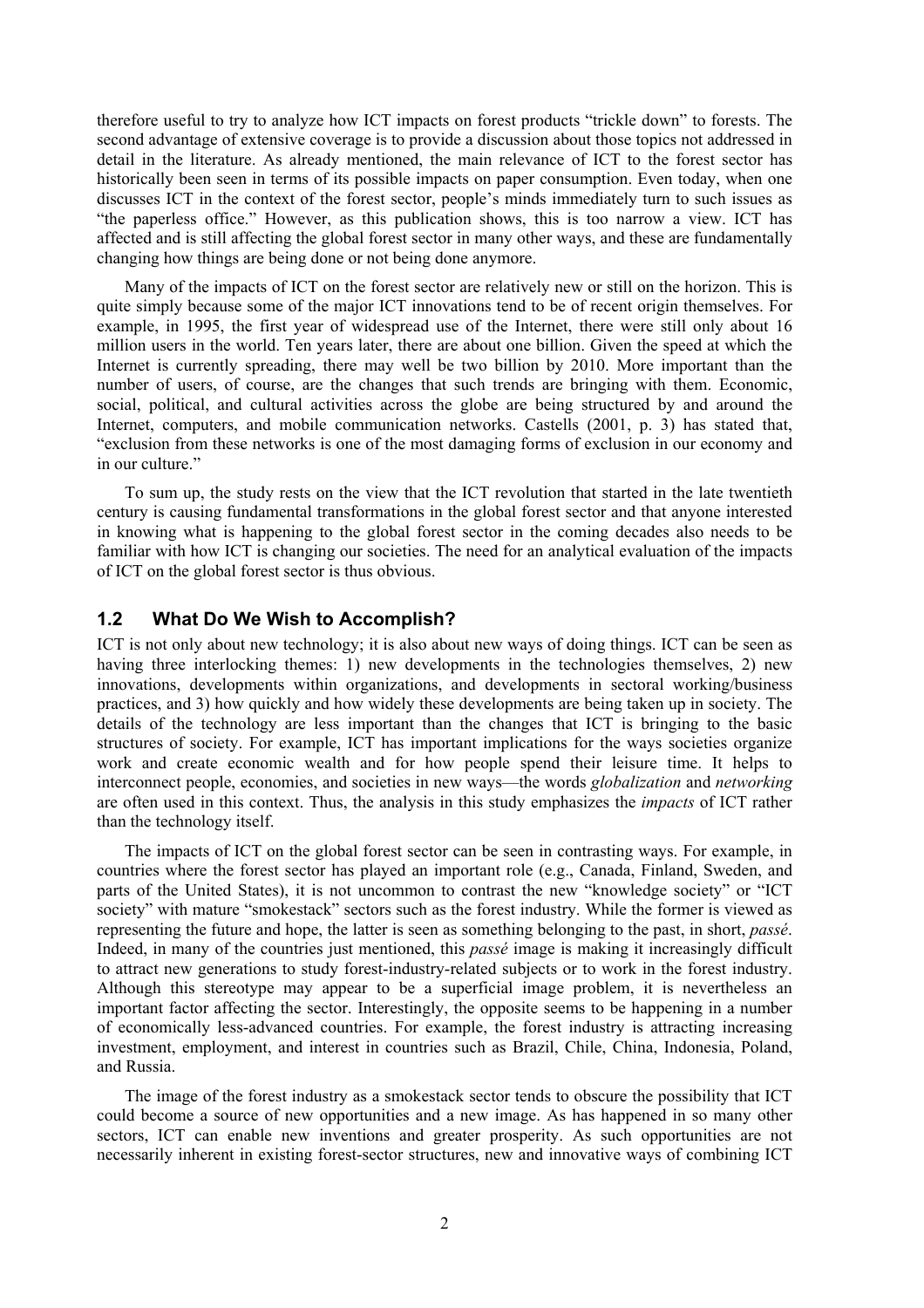therefore useful to try to analyze how ICT impacts on forest products "trickle down" to forests. The second advantage of extensive coverage is to provide a discussion about those topics not addressed in detail in the literature. As already mentioned, the main relevance of ICT to the forest sector has historically been seen in terms of its possible impacts on paper consumption. Even today, when one discusses ICT in the context of the forest sector, people's minds immediately turn to such issues as "the paperless office." However, as this publication shows, this is too narrow a view. ICT has affected and is still affecting the global forest sector in many other ways, and these are fundamentally changing how things are being done or not being done anymore.

 Many of the impacts of ICT on the forest sector are relatively new or still on the horizon. This is quite simply because some of the major ICT innovations tend to be of recent origin themselves. For example, in 1995, the first year of widespread use of the Internet, there were still only about 16 million users in the world. Ten years later, there are about one billion. Given the speed at which the Internet is currently spreading, there may well be two billion by 2010. More important than the number of users, of course, are the changes that such trends are bringing with them. Economic, social, political, and cultural activities across the globe are being structured by and around the Internet, computers, and mobile communication networks. Castells (2001, p. 3) has stated that, "exclusion from these networks is one of the most damaging forms of exclusion in our economy and in our culture."

 To sum up, the study rests on the view that the ICT revolution that started in the late twentieth century is causing fundamental transformations in the global forest sector and that anyone interested in knowing what is happening to the global forest sector in the coming decades also needs to be familiar with how ICT is changing our societies. The need for an analytical evaluation of the impacts of ICT on the global forest sector is thus obvious.

### **1.2 What Do We Wish to Accomplish?**

ICT is not only about new technology; it is also about new ways of doing things. ICT can be seen as having three interlocking themes: 1) new developments in the technologies themselves, 2) new innovations, developments within organizations, and developments in sectoral working/business practices, and 3) how quickly and how widely these developments are being taken up in society. The details of the technology are less important than the changes that ICT is bringing to the basic structures of society. For example, ICT has important implications for the ways societies organize work and create economic wealth and for how people spend their leisure time. It helps to interconnect people, economies, and societies in new ways—the words *globalization* and *networking* are often used in this context. Thus, the analysis in this study emphasizes the *impacts* of ICT rather than the technology itself.

 The impacts of ICT on the global forest sector can be seen in contrasting ways. For example, in countries where the forest sector has played an important role (e.g., Canada, Finland, Sweden, and parts of the United States), it is not uncommon to contrast the new "knowledge society" or "ICT society" with mature "smokestack" sectors such as the forest industry. While the former is viewed as representing the future and hope, the latter is seen as something belonging to the past, in short, *passé*. Indeed, in many of the countries just mentioned, this *passé* image is making it increasingly difficult to attract new generations to study forest-industry-related subjects or to work in the forest industry. Although this stereotype may appear to be a superficial image problem, it is nevertheless an important factor affecting the sector. Interestingly, the opposite seems to be happening in a number of economically less-advanced countries. For example, the forest industry is attracting increasing investment, employment, and interest in countries such as Brazil, Chile, China, Indonesia, Poland, and Russia.

 The image of the forest industry as a smokestack sector tends to obscure the possibility that ICT could become a source of new opportunities and a new image. As has happened in so many other sectors, ICT can enable new inventions and greater prosperity. As such opportunities are not necessarily inherent in existing forest-sector structures, new and innovative ways of combining ICT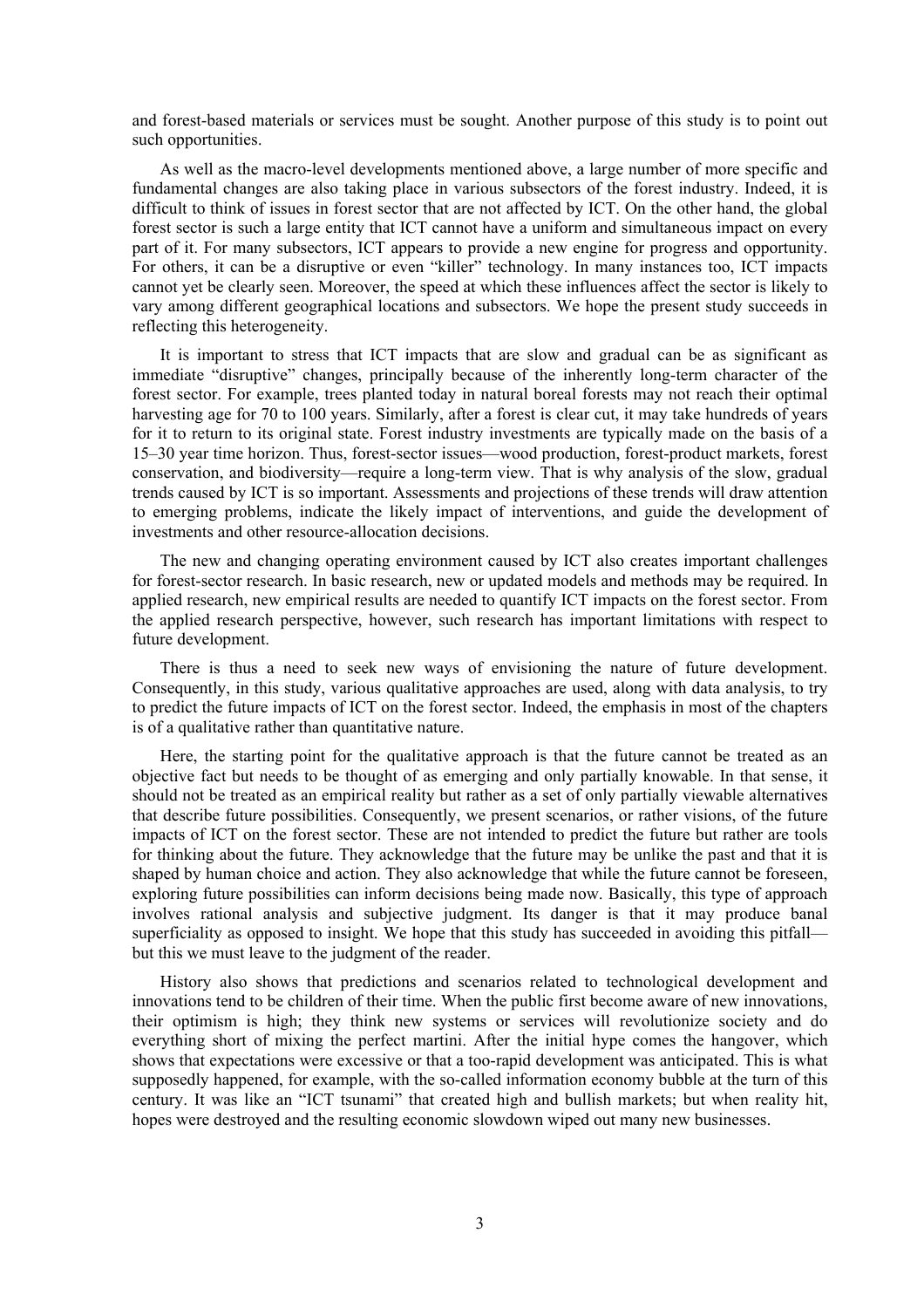and forest-based materials or services must be sought. Another purpose of this study is to point out such opportunities.

 As well as the macro-level developments mentioned above, a large number of more specific and fundamental changes are also taking place in various subsectors of the forest industry. Indeed, it is difficult to think of issues in forest sector that are not affected by ICT. On the other hand, the global forest sector is such a large entity that ICT cannot have a uniform and simultaneous impact on every part of it. For many subsectors, ICT appears to provide a new engine for progress and opportunity. For others, it can be a disruptive or even "killer" technology. In many instances too, ICT impacts cannot yet be clearly seen. Moreover, the speed at which these influences affect the sector is likely to vary among different geographical locations and subsectors. We hope the present study succeeds in reflecting this heterogeneity.

 It is important to stress that ICT impacts that are slow and gradual can be as significant as immediate "disruptive" changes, principally because of the inherently long-term character of the forest sector. For example, trees planted today in natural boreal forests may not reach their optimal harvesting age for 70 to 100 years. Similarly, after a forest is clear cut, it may take hundreds of years for it to return to its original state. Forest industry investments are typically made on the basis of a 15–30 year time horizon. Thus, forest-sector issues—wood production, forest-product markets, forest conservation, and biodiversity—require a long-term view. That is why analysis of the slow, gradual trends caused by ICT is so important. Assessments and projections of these trends will draw attention to emerging problems, indicate the likely impact of interventions, and guide the development of investments and other resource-allocation decisions.

 The new and changing operating environment caused by ICT also creates important challenges for forest-sector research. In basic research, new or updated models and methods may be required. In applied research, new empirical results are needed to quantify ICT impacts on the forest sector. From the applied research perspective, however, such research has important limitations with respect to future development.

 There is thus a need to seek new ways of envisioning the nature of future development. Consequently, in this study, various qualitative approaches are used, along with data analysis, to try to predict the future impacts of ICT on the forest sector. Indeed, the emphasis in most of the chapters is of a qualitative rather than quantitative nature.

 Here, the starting point for the qualitative approach is that the future cannot be treated as an objective fact but needs to be thought of as emerging and only partially knowable. In that sense, it should not be treated as an empirical reality but rather as a set of only partially viewable alternatives that describe future possibilities. Consequently, we present scenarios, or rather visions, of the future impacts of ICT on the forest sector. These are not intended to predict the future but rather are tools for thinking about the future. They acknowledge that the future may be unlike the past and that it is shaped by human choice and action. They also acknowledge that while the future cannot be foreseen, exploring future possibilities can inform decisions being made now. Basically, this type of approach involves rational analysis and subjective judgment. Its danger is that it may produce banal superficiality as opposed to insight. We hope that this study has succeeded in avoiding this pitfall but this we must leave to the judgment of the reader.

 History also shows that predictions and scenarios related to technological development and innovations tend to be children of their time. When the public first become aware of new innovations, their optimism is high; they think new systems or services will revolutionize society and do everything short of mixing the perfect martini. After the initial hype comes the hangover, which shows that expectations were excessive or that a too-rapid development was anticipated. This is what supposedly happened, for example, with the so-called information economy bubble at the turn of this century. It was like an "ICT tsunami" that created high and bullish markets; but when reality hit, hopes were destroyed and the resulting economic slowdown wiped out many new businesses.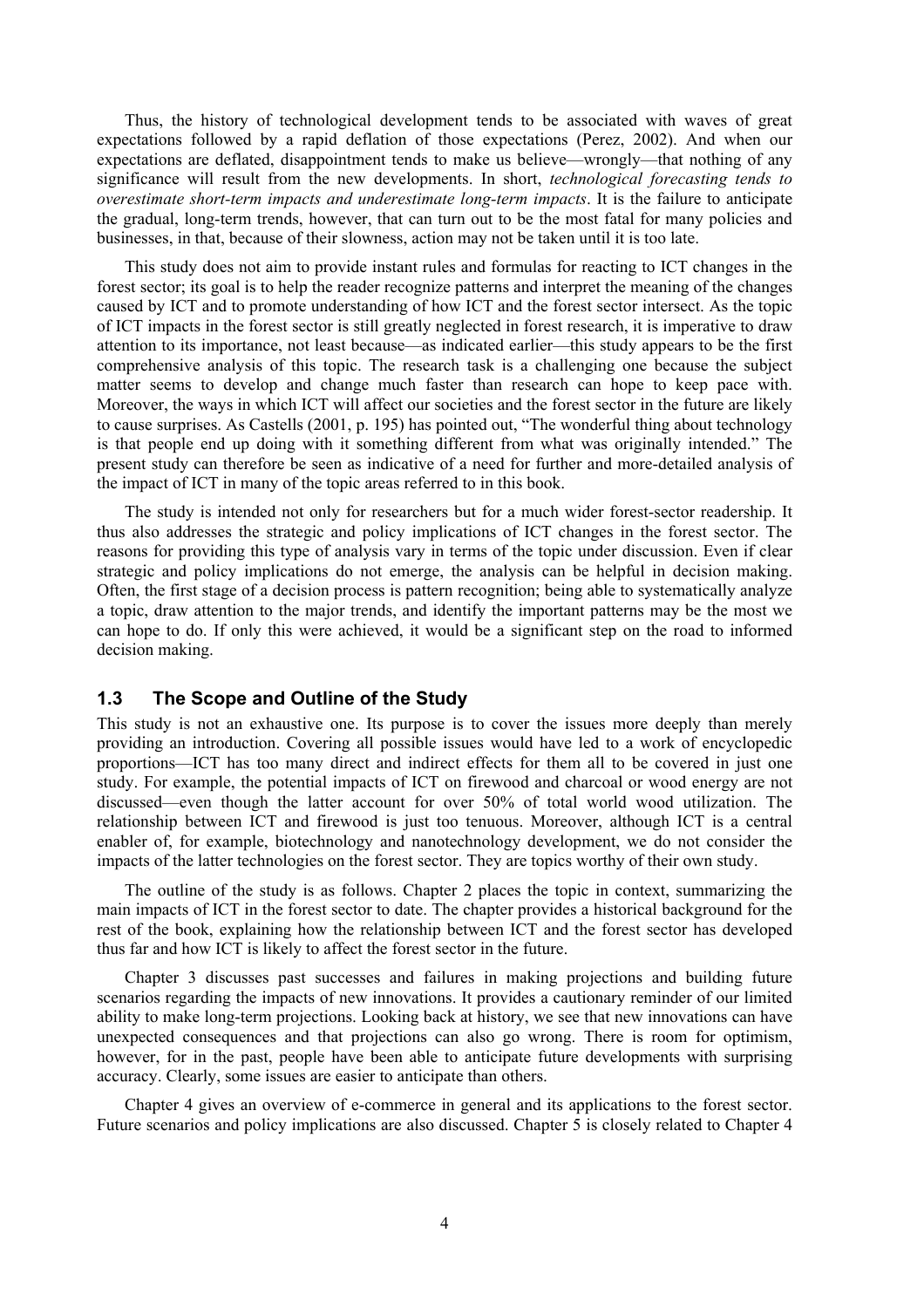Thus, the history of technological development tends to be associated with waves of great expectations followed by a rapid deflation of those expectations (Perez, 2002). And when our expectations are deflated, disappointment tends to make us believe—wrongly—that nothing of any significance will result from the new developments. In short, *technological forecasting tends to overestimate short-term impacts and underestimate long-term impacts*. It is the failure to anticipate the gradual, long-term trends, however, that can turn out to be the most fatal for many policies and businesses, in that, because of their slowness, action may not be taken until it is too late.

 This study does not aim to provide instant rules and formulas for reacting to ICT changes in the forest sector; its goal is to help the reader recognize patterns and interpret the meaning of the changes caused by ICT and to promote understanding of how ICT and the forest sector intersect. As the topic of ICT impacts in the forest sector is still greatly neglected in forest research, it is imperative to draw attention to its importance, not least because—as indicated earlier—this study appears to be the first comprehensive analysis of this topic. The research task is a challenging one because the subject matter seems to develop and change much faster than research can hope to keep pace with. Moreover, the ways in which ICT will affect our societies and the forest sector in the future are likely to cause surprises. As Castells (2001, p. 195) has pointed out, "The wonderful thing about technology is that people end up doing with it something different from what was originally intended." The present study can therefore be seen as indicative of a need for further and more-detailed analysis of the impact of ICT in many of the topic areas referred to in this book.

 The study is intended not only for researchers but for a much wider forest-sector readership. It thus also addresses the strategic and policy implications of ICT changes in the forest sector. The reasons for providing this type of analysis vary in terms of the topic under discussion. Even if clear strategic and policy implications do not emerge, the analysis can be helpful in decision making. Often, the first stage of a decision process is pattern recognition; being able to systematically analyze a topic, draw attention to the major trends, and identify the important patterns may be the most we can hope to do. If only this were achieved, it would be a significant step on the road to informed decision making.

# **1.3 The Scope and Outline of the Study**

This study is not an exhaustive one. Its purpose is to cover the issues more deeply than merely providing an introduction. Covering all possible issues would have led to a work of encyclopedic proportions—ICT has too many direct and indirect effects for them all to be covered in just one study. For example, the potential impacts of ICT on firewood and charcoal or wood energy are not discussed—even though the latter account for over 50% of total world wood utilization. The relationship between ICT and firewood is just too tenuous. Moreover, although ICT is a central enabler of, for example, biotechnology and nanotechnology development, we do not consider the impacts of the latter technologies on the forest sector. They are topics worthy of their own study.

 The outline of the study is as follows. Chapter 2 places the topic in context, summarizing the main impacts of ICT in the forest sector to date. The chapter provides a historical background for the rest of the book, explaining how the relationship between ICT and the forest sector has developed thus far and how ICT is likely to affect the forest sector in the future.

 Chapter 3 discusses past successes and failures in making projections and building future scenarios regarding the impacts of new innovations. It provides a cautionary reminder of our limited ability to make long-term projections. Looking back at history, we see that new innovations can have unexpected consequences and that projections can also go wrong. There is room for optimism, however, for in the past, people have been able to anticipate future developments with surprising accuracy. Clearly, some issues are easier to anticipate than others.

 Chapter 4 gives an overview of e-commerce in general and its applications to the forest sector. Future scenarios and policy implications are also discussed. Chapter 5 is closely related to Chapter 4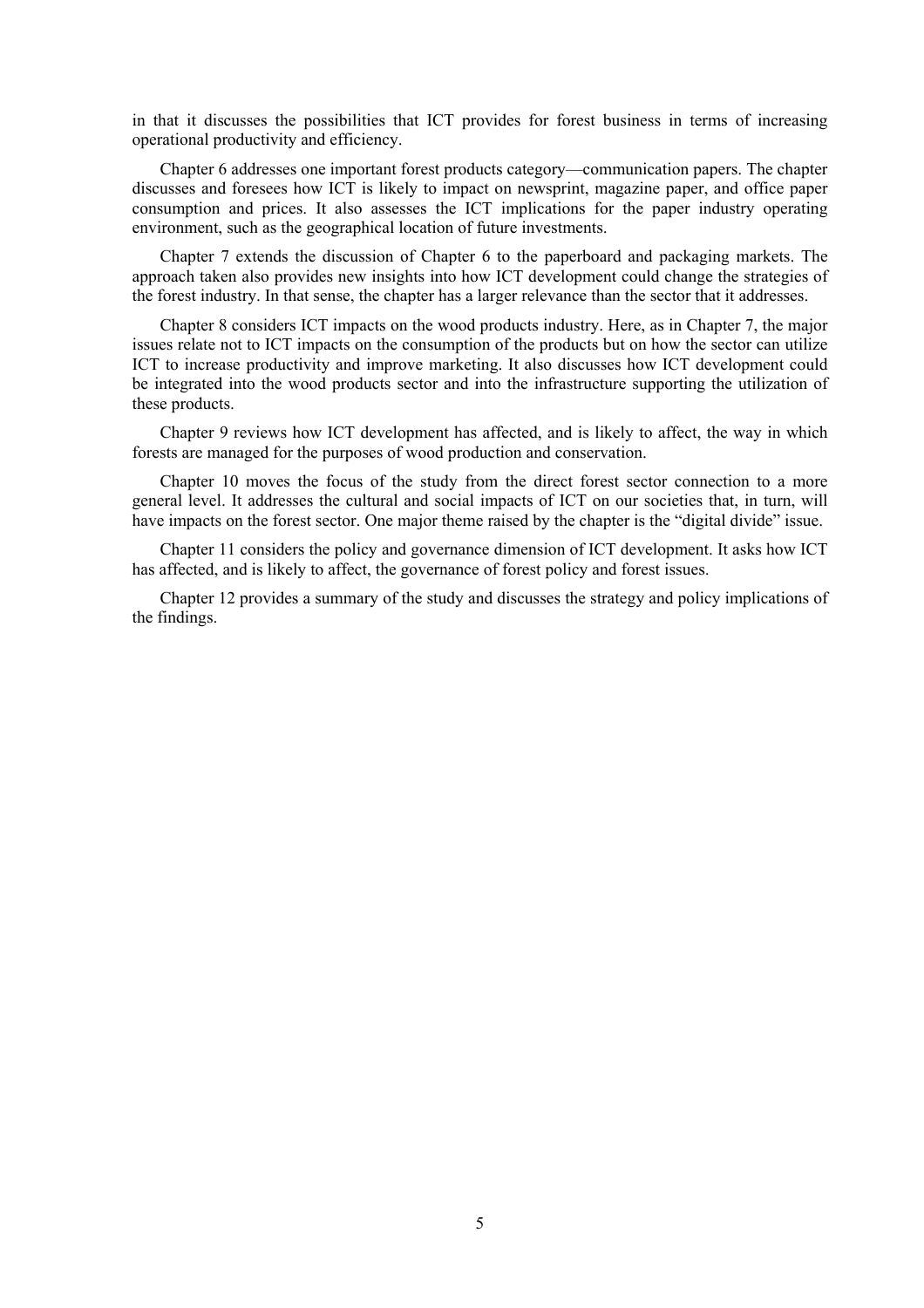in that it discusses the possibilities that ICT provides for forest business in terms of increasing operational productivity and efficiency.

 Chapter 6 addresses one important forest products category—communication papers. The chapter discusses and foresees how ICT is likely to impact on newsprint, magazine paper, and office paper consumption and prices. It also assesses the ICT implications for the paper industry operating environment, such as the geographical location of future investments.

 Chapter 7 extends the discussion of Chapter 6 to the paperboard and packaging markets. The approach taken also provides new insights into how ICT development could change the strategies of the forest industry. In that sense, the chapter has a larger relevance than the sector that it addresses.

 Chapter 8 considers ICT impacts on the wood products industry. Here, as in Chapter 7, the major issues relate not to ICT impacts on the consumption of the products but on how the sector can utilize ICT to increase productivity and improve marketing. It also discusses how ICT development could be integrated into the wood products sector and into the infrastructure supporting the utilization of these products.

 Chapter 9 reviews how ICT development has affected, and is likely to affect, the way in which forests are managed for the purposes of wood production and conservation.

 Chapter 10 moves the focus of the study from the direct forest sector connection to a more general level. It addresses the cultural and social impacts of ICT on our societies that, in turn, will have impacts on the forest sector. One major theme raised by the chapter is the "digital divide" issue.

 Chapter 11 considers the policy and governance dimension of ICT development. It asks how ICT has affected, and is likely to affect, the governance of forest policy and forest issues.

 Chapter 12 provides a summary of the study and discusses the strategy and policy implications of the findings.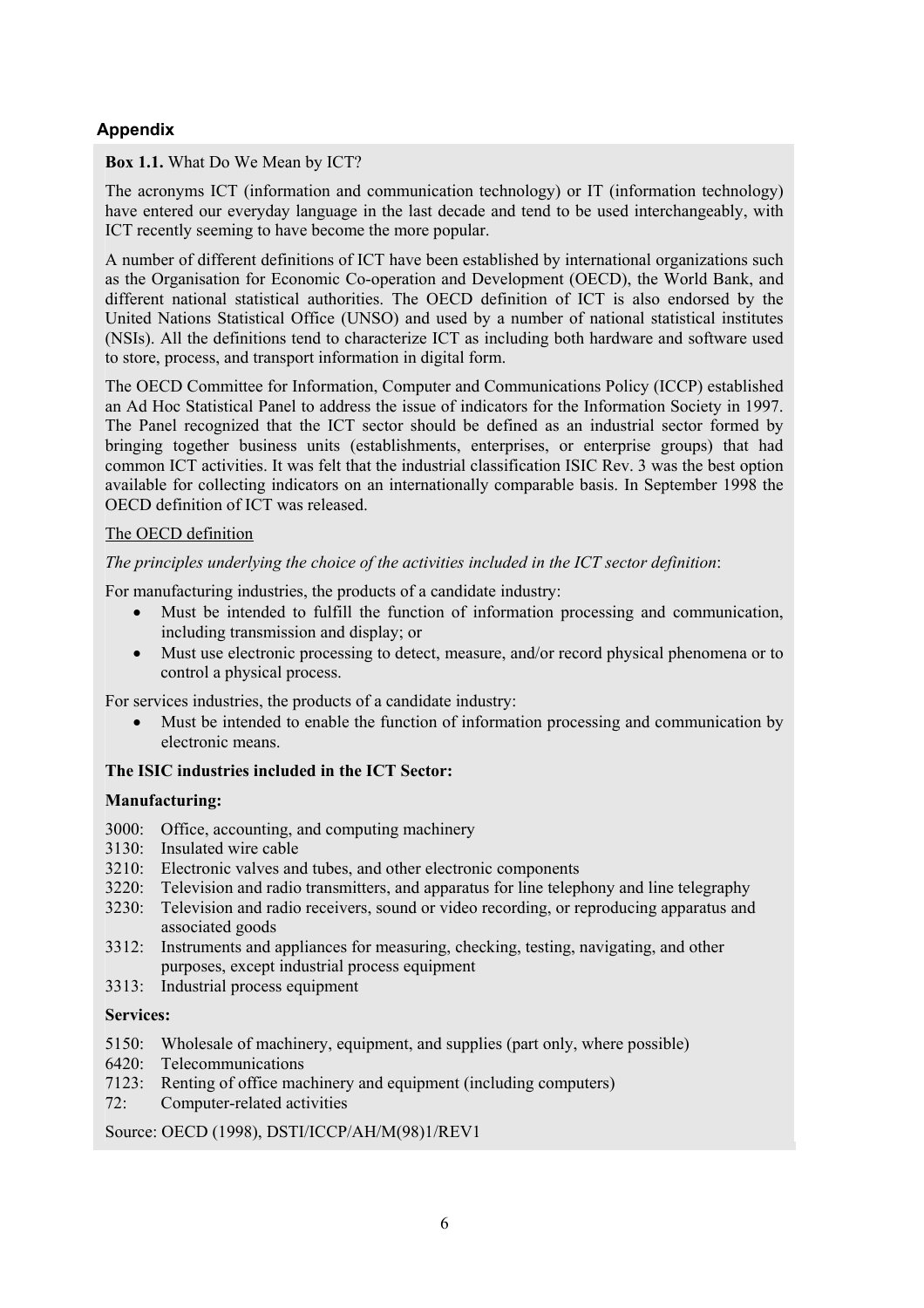# **Appendix**

### **Box 1.1.** What Do We Mean by ICT?

The acronyms ICT (information and communication technology) or IT (information technology) have entered our everyday language in the last decade and tend to be used interchangeably, with ICT recently seeming to have become the more popular.

A number of different definitions of ICT have been established by international organizations such as the Organisation for Economic Co-operation and Development (OECD), the World Bank, and different national statistical authorities. The OECD definition of ICT is also endorsed by the United Nations Statistical Office (UNSO) and used by a number of national statistical institutes (NSIs). All the definitions tend to characterize ICT as including both hardware and software used to store, process, and transport information in digital form.

The OECD Committee for Information, Computer and Communications Policy (ICCP) established an Ad Hoc Statistical Panel to address the issue of indicators for the Information Society in 1997. The Panel recognized that the ICT sector should be defined as an industrial sector formed by bringing together business units (establishments, enterprises, or enterprise groups) that had common ICT activities. It was felt that the industrial classification ISIC Rev. 3 was the best option available for collecting indicators on an internationally comparable basis. In September 1998 the OECD definition of ICT was released.

#### The OECD definition

# *The principles underlying the choice of the activities included in the ICT sector definition*:

For manufacturing industries, the products of a candidate industry:

- Must be intended to fulfill the function of information processing and communication, including transmission and display; or
- Must use electronic processing to detect, measure, and/or record physical phenomena or to control a physical process.

For services industries, the products of a candidate industry:

• Must be intended to enable the function of information processing and communication by electronic means.

# **The ISIC industries included in the ICT Sector:**

#### **Manufacturing:**

- 3000: Office, accounting, and computing machinery
- 3130: Insulated wire cable
- 3210: Electronic valves and tubes, and other electronic components
- 3220: Television and radio transmitters, and apparatus for line telephony and line telegraphy
- 3230: Television and radio receivers, sound or video recording, or reproducing apparatus and associated goods
- 3312: Instruments and appliances for measuring, checking, testing, navigating, and other purposes, except industrial process equipment
- 3313: Industrial process equipment

#### **Services:**

- 5150: Wholesale of machinery, equipment, and supplies (part only, where possible)
- 6420: Telecommunications
- 7123: Renting of office machinery and equipment (including computers)
- 72: Computer-related activities

Source: OECD (1998), DSTI/ICCP/AH/M(98)1/REV1